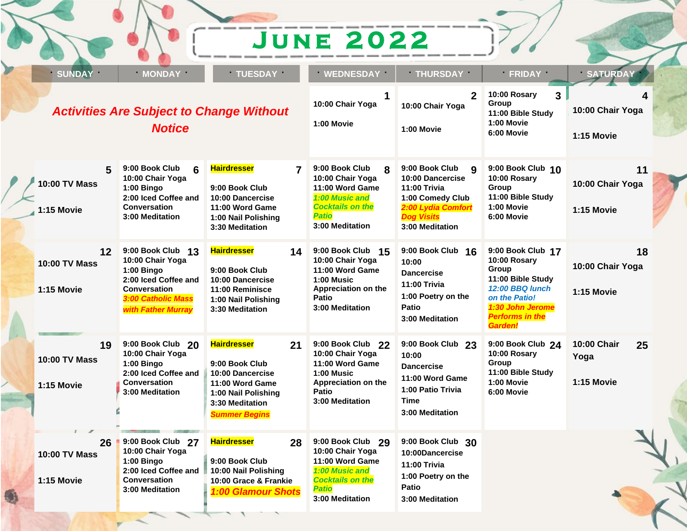## · **J u n e 2 0 2 2** ·

| SUNDAY                                                           | <b>MONDAY</b>                                                                                                                                  | <b>TUESDAY</b>                                                                                                                               | <b>WEDNESDAY</b>                                                                                                                           | <b>THURSDAY</b>                                                                                                                            | <b>FRIDAY</b>                                                                                                                                                       | SATURDAY                                              |
|------------------------------------------------------------------|------------------------------------------------------------------------------------------------------------------------------------------------|----------------------------------------------------------------------------------------------------------------------------------------------|--------------------------------------------------------------------------------------------------------------------------------------------|--------------------------------------------------------------------------------------------------------------------------------------------|---------------------------------------------------------------------------------------------------------------------------------------------------------------------|-------------------------------------------------------|
| <b>Activities Are Subject to Change Without</b><br><b>Notice</b> |                                                                                                                                                |                                                                                                                                              | 1<br>10:00 Chair Yoga<br>1:00 Movie                                                                                                        | $\mathbf{2}$<br>10:00 Chair Yoga<br>1:00 Movie                                                                                             | 10:00 Rosary<br>3<br>Group<br>11:00 Bible Study<br>1:00 Movie<br>6:00 Movie                                                                                         | 10:00 Chair Yoga<br>1:15 Movie                        |
| 5<br><b>10:00 TV Mass</b><br><b>1:15 Movie</b>                   | 9:00 Book Club<br>6<br>10:00 Chair Yoga<br>1:00 Bingo<br>2:00 Iced Coffee and<br><b>Conversation</b><br>3:00 Meditation                        | <b>Hairdresser</b><br>7<br>9:00 Book Club<br>10:00 Dancercise<br>11:00 Word Game<br>1:00 Nail Polishing<br>3:30 Meditation                   | 9:00 Book Club<br>8<br>10:00 Chair Yoga<br>11:00 Word Game<br>1:00 Music and<br><b>Cocktails on the</b><br><b>Patio</b><br>3:00 Meditation | 9:00 Book Club<br>-9<br>10:00 Dancercise<br>11:00 Trivia<br>1:00 Comedy Club<br>2:00 Lydia Comfort<br><b>Dog Visits</b><br>3:00 Meditation | 9:00 Book Club 10<br>10:00 Rosary<br>Group<br>11:00 Bible Study<br>1:00 Movie<br>6:00 Movie                                                                         | 11<br>10:00 Chair Yoga<br>1:15 Movie                  |
| 12<br><b>10:00 TV Mass</b><br>1:15 Movie                         | 9:00 Book Club 13<br>10:00 Chair Yoga<br>1:00 Bingo<br>2:00 Iced Coffee and<br>Conversation<br>3:00 Catholic Mass<br><b>with Father Murray</b> | <b>Hairdresser</b><br>14<br>9:00 Book Club<br>10:00 Dancercise<br>11:00 Reminisce<br>1:00 Nail Polishing<br>3:30 Meditation                  | 9:00 Book Club 15<br>10:00 Chair Yoga<br>11:00 Word Game<br>1:00 Music<br>Appreciation on the<br><b>Patio</b><br>3:00 Meditation           | 9:00 Book Club 16<br>10:00<br><b>Dancercise</b><br>11:00 Trivia<br>1:00 Poetry on the<br>Patio<br>3:00 Meditation                          | 9:00 Book Club 17<br>10:00 Rosary<br>Group<br>11:00 Bible Study<br><b>12:00 BBQ lunch</b><br>on the Patio!<br>1:30 John Jerome<br><b>Performs in the</b><br>Garden! | 18<br>10:00 Chair Yoga<br>1:15 Movie                  |
| 19<br><b>10:00 TV Mass</b><br>1:15 Movie                         | 9:00 Book Club 20<br>10:00 Chair Yoga<br>1:00 Bingo<br>2:00 Iced Coffee and<br><b>Conversation</b><br>3:00 Meditation                          | <b>Hairdresser</b><br>21<br>9:00 Book Club<br>10:00 Dancercise<br>11:00 Word Game<br>1:00 Nail Polishing<br>3:30 Meditation<br>Summer Begins | 9:00 Book Club 22<br>10:00 Chair Yoga<br>11:00 Word Game<br>$1:00$ Music<br>Appreciation on the<br><b>Patio</b><br>3:00 Meditation         | 9:00 Book Club 23<br>10:00<br><b>Dancercise</b><br>11:00 Word Game<br>1:00 Patio Trivia<br><b>Time</b><br>3:00 Meditation                  | 9:00 Book Club 24<br>10:00 Rosary<br>Group<br>11:00 Bible Study<br>1:00 Movie<br>6:00 Movie                                                                         | <b>10:00 Chair</b><br>25<br>Yoga<br><b>1:15 Movie</b> |
| 26<br><b>10:00 TV Mass</b><br><b>1:15 Movie</b>                  | 9:00 Book Club 27<br>10:00 Chair Yoga<br>1:00 Bingo<br>2:00 Iced Coffee and<br><b>Conversation</b><br>3:00 Meditation                          | <b>Hairdresser</b><br>28<br>9:00 Book Club<br>10:00 Nail Polishing<br>10:00 Grace & Frankie<br><b>1:00 Glamour Shots</b>                     | 9:00 Book Club 29<br>10:00 Chair Yoga<br>11:00 Word Game<br>1:00 Music and<br><b>Cocktails on the</b><br><b>Patio</b><br>3:00 Meditation   | 9:00 Book Club 30<br>10:00Dancercise<br>11:00 Trivia<br>1:00 Poetry on the<br>Patio<br>3:00 Meditation                                     |                                                                                                                                                                     |                                                       |